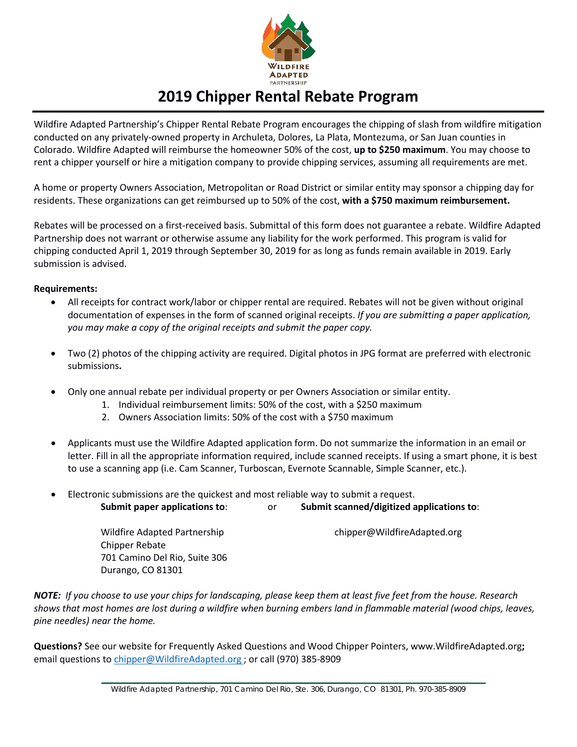

# **2019 Chipper Rental Rebate Program**

Wildfire Adapted Partnership's Chipper Rental Rebate Program encourages the chipping of slash from wildfire mitigation conducted on any privately-owned property in Archuleta, Dolores, La Plata, Montezuma, or San Juan counties in Colorado. Wildfire Adapted will reimburse the homeowner 50% of the cost, **up to \$250 maximum**. You may choose to rent a chipper yourself or hire a mitigation company to provide chipping services, assuming all requirements are met.

A home or property Owners Association, Metropolitan or Road District or similar entity may sponsor a chipping day for residents. These organizations can get reimbursed up to 50% of the cost, **with a \$750 maximum reimbursement.**

Rebates will be processed on a first-received basis. Submittal of this form does not guarantee a rebate. Wildfire Adapted Partnership does not warrant or otherwise assume any liability for the work performed. This program is valid for chipping conducted April 1, 2019 through September 30, 2019 for as long as funds remain available in 2019. Early submission is advised.

#### **Requirements:**

- All receipts for contract work/labor or chipper rental are required. Rebates will not be given without original documentation of expenses in the form of scanned original receipts. *If you are submitting a paper application, you may make a copy of the original receipts and submit the paper copy.*
- Two (2) photos of the chipping activity are required. Digital photos in JPG format are preferred with electronic submissions**.**
- Only one annual rebate per individual property or per Owners Association or similar entity.
	- 1. Individual reimbursement limits: 50% of the cost, with a \$250 maximum
	- 2. Owners Association limits: 50% of the cost with a \$750 maximum
- Applicants must use the Wildfire Adapted application form. Do not summarize the information in an email or letter. Fill in all the appropriate information required, include scanned receipts. If using a smart phone, it is best to use a scanning app (i.e. Cam Scanner, Turboscan, Evernote Scannable, Simple Scanner, etc.).
- Electronic submissions are the quickest and most reliable way to submit a request. **Submit paper applications to**: or **Submit scanned/digitized applications to**:

Wildfire Adapted Partnership entitled by the chipper@WildfireAdapted.org Chipper Rebate 701 Camino Del Rio, Suite 306 Durango, CO 81301

*NOTE: If you choose to use your chips for landscaping, please keep them at least five feet from the house. Research shows that most homes are lost during a wildfire when burning embers land in flammable material (wood chips, leaves, pine needles) near the home.*

**Questions?** See our website for Frequently Asked Questions and Wood Chipper Pointers, www.WildfireAdapted.org**;** email questions to [chipper@WildfireAdapted.org](mailto:chipper@WildfireAdapted.org) ; or call (970) 385-8909